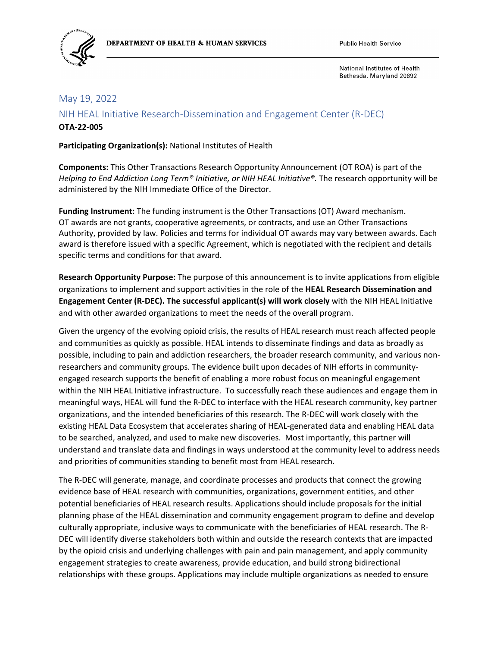

#### May 19, 2022

NIH HEAL Initiative Research-Dissemination and Engagement Center (R-DEC) **OTA-22-005**

**Participating Organization(s):** National Institutes of Health

**Components:** This Other Transactions Research Opportunity Announcement (OT ROA) is part of the *Helping to End Addiction Long Term® Initiative, or NIH HEAL Initiative®.* The research opportunity will be administered by the NIH Immediate Office of the Director.

**Funding Instrument:** The funding instrument is the Other Transactions (OT) Award mechanism. OT awards are not grants, cooperative agreements, or contracts, and use an Other Transactions Authority, provided by law. Policies and terms for individual OT awards may vary between awards. Each award is therefore issued with a specific Agreement, which is negotiated with the recipient and details specific terms and conditions for that award.

**Research Opportunity Purpose:** The purpose of this announcement is to invite applications from eligible organizations to implement and support activities in the role of the **HEAL Research Dissemination and Engagement Center (R-DEC). The successful applicant(s) will work closely** with the NIH HEAL Initiative and with other awarded organizations to meet the needs of the overall program.

Given the urgency of the evolving opioid crisis, the results of HEAL research must reach affected people and communities as quickly as possible. HEAL intends to disseminate findings and data as broadly as possible, including to pain and addiction researchers, the broader research community, and various nonresearchers and community groups. The evidence built upon decades of NIH efforts in communityengaged research supports the benefit of enabling a more robust focus on meaningful engagement within the NIH HEAL Initiative infrastructure. To successfully reach these audiences and engage them in meaningful ways, HEAL will fund the R-DEC to interface with the HEAL research community, key partner organizations, and the intended beneficiaries of this research. The R-DEC will work closely with the existing HEAL Data Ecosystem that accelerates sharing of HEAL-generated data and enabling HEAL data to be searched, analyzed, and used to make new discoveries. Most importantly, this partner will understand and translate data and findings in ways understood at the community level to address needs and priorities of communities standing to benefit most from HEAL research.

The R-DEC will generate, manage, and coordinate processes and products that connect the growing evidence base of HEAL research with communities, organizations, government entities, and other potential beneficiaries of HEAL research results. Applications should include proposals for the initial planning phase of the HEAL dissemination and community engagement program to define and develop culturally appropriate, inclusive ways to communicate with the beneficiaries of HEAL research. The R-DEC will identify diverse stakeholders both within and outside the research contexts that are impacted by the opioid crisis and underlying challenges with pain and pain management, and apply community engagement strategies to create awareness, provide education, and build strong bidirectional relationships with these groups. Applications may include multiple organizations as needed to ensure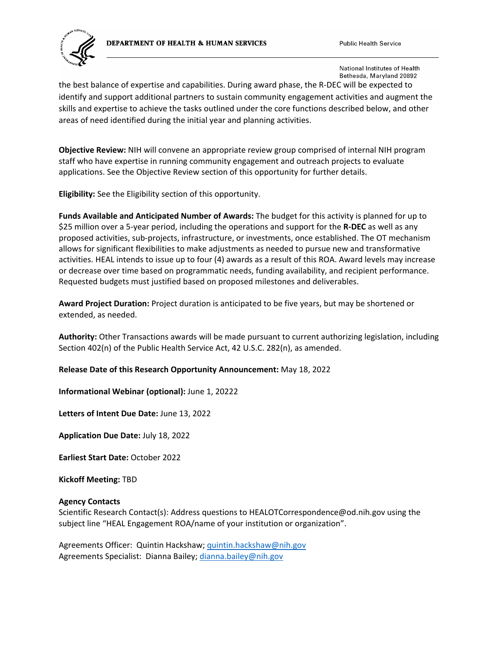#### DEPARTMENT OF HEALTH & HUMAN SERVICES





National Institutes of Health Bethesda, Maryland 20892

the best balance of expertise and capabilities. During award phase, the R-DEC will be expected to identify and support additional partners to sustain community engagement activities and augment the skills and expertise to achieve the tasks outlined under the core functions described below, and other areas of need identified during the initial year and planning activities.

**Objective Review:** NIH will convene an appropriate review group comprised of internal NIH program staff who have expertise in running community engagement and outreach projects to evaluate applications. See the Objective Review section of this opportunity for further details.

**Eligibility:** See the Eligibility section of this opportunity.

**Funds Available and Anticipated Number of Awards:** The budget for this activity is planned for up to \$25 million over a 5-year period, including the operations and support for the **R-DEC** as well as any proposed activities, sub-projects, infrastructure, or investments, once established. The OT mechanism allows for significant flexibilities to make adjustments as needed to pursue new and transformative activities. HEAL intends to issue up to four (4) awards as a result of this ROA. Award levels may increase or decrease over time based on programmatic needs, funding availability, and recipient performance. Requested budgets must justified based on proposed milestones and deliverables.

**Award Project Duration:** Project duration is anticipated to be five years, but may be shortened or extended, as needed.

**Authority:** Other Transactions awards will be made pursuant to current authorizing legislation, including Section 402(n) of the Public Health Service Act, 42 U.S.C. 282(n), as amended.

**Release Date of this Research Opportunity Announcement:** May 18, 2022

**Informational Webinar (optional):** June 1, 20222

**Letters of Intent Due Date:** June 13, 2022

**Application Due Date:** July 18, 2022

**Earliest Start Date:** October 2022

**Kickoff Meeting:** TBD

#### **Agency Contacts**

Scientific Research Contact(s): Address questions to HEALOTCorrespondence@od.nih.gov using the subject line "HEAL Engagement ROA/name of your institution or organization".

Agreements Officer: Quintin Hackshaw[; quintin.hackshaw@nih.gov](mailto:quintin.hackshaw@nih.gov) Agreements Specialist: Dianna Bailey[; dianna.bailey@nih.gov](mailto:dianna.bailey@nih.gov)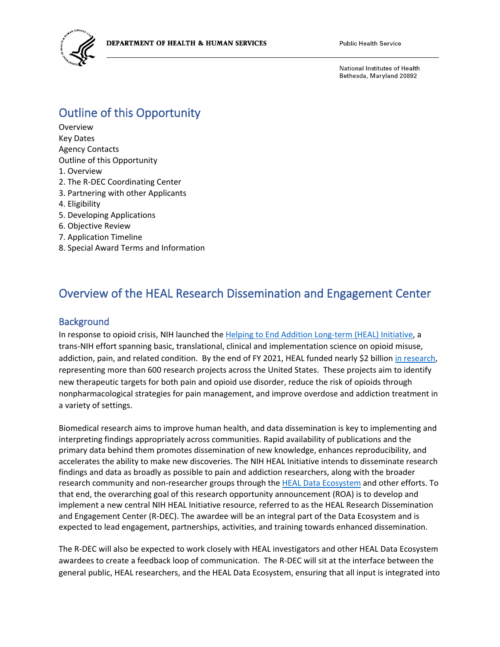

# Outline of this Opportunity

Overview Key Dates Agency Contacts Outline of this Opportunity 1. Overview 2. The R-DEC Coordinating Center 3. Partnering with other Applicants 4. Eligibility 5. Developing Applications 6. Objective Review 7. Application Timeline 8. Special Award Terms and Information

# Overview of the HEAL Research Dissemination and Engagement Center

#### **Background**

In response to opioid crisis, NIH launched the [Helping to End Addition Long-term \(HEAL\) Initiative,](https://heal.nih.gov/) a trans-NIH effort spanning basic, translational, clinical and implementation science on opioid misuse, addiction, pain, and related condition. By the end of FY 2021, HEAL funded nearly \$2 billion [in research,](https://heal.nih.gov/research) representing more than 600 research projects across the United States. These projects aim to identify new therapeutic targets for both pain and opioid use disorder, reduce the risk of opioids through nonpharmacological strategies for pain management, and improve overdose and addiction treatment in a variety of settings.

Biomedical research aims to improve human health, and data dissemination is key to implementing and interpreting findings appropriately across communities. Rapid availability of publications and the primary data behind them promotes dissemination of new knowledge, enhances reproducibility, and accelerates the ability to make new discoveries. The NIH HEAL Initiative intends to disseminate research findings and data as broadly as possible to pain and addiction researchers, along with the broader research community and non-researcher groups through th[e HEAL Data Ecosystem](https://heal.nih.gov/data/heal-data-ecosystem) and other efforts. To that end, the overarching goal of this research opportunity announcement (ROA) is to develop and implement a new central NIH HEAL Initiative resource, referred to as the HEAL Research Dissemination and Engagement Center (R-DEC). The awardee will be an integral part of the Data Ecosystem and is expected to lead engagement, partnerships, activities, and training towards enhanced dissemination.

The R-DEC will also be expected to work closely with HEAL investigators and other HEAL Data Ecosystem awardees to create a feedback loop of communication. The R-DEC will sit at the interface between the general public, HEAL researchers, and the HEAL Data Ecosystem, ensuring that all input is integrated into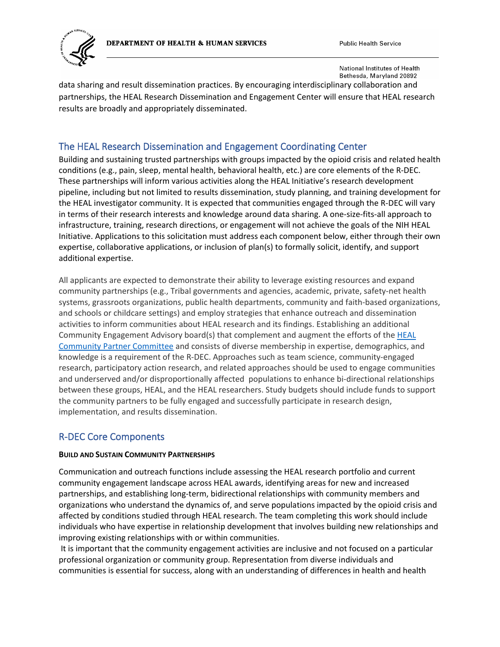DEPARTMENT OF HEALTH & HUMAN SERVICES



**Public Health Service** 

National Institutes of Health Bethesda, Maryland 20892

data sharing and result dissemination practices. By encouraging interdisciplinary collaboration and partnerships, the HEAL Research Dissemination and Engagement Center will ensure that HEAL research results are broadly and appropriately disseminated.

### The HEAL Research Dissemination and Engagement Coordinating Center

Building and sustaining trusted partnerships with groups impacted by the opioid crisis and related health conditions (e.g., pain, sleep, mental health, behavioral health, etc.) are core elements of the R-DEC. These partnerships will inform various activities along the HEAL Initiative's research development pipeline, including but not limited to results dissemination, study planning, and training development for the HEAL investigator community. It is expected that communities engaged through the R-DEC will vary in terms of their research interests and knowledge around data sharing. A one-size-fits-all approach to infrastructure, training, research directions, or engagement will not achieve the goals of the NIH HEAL Initiative. Applications to this solicitation must address each component below, either through their own expertise, collaborative applications, or inclusion of plan(s) to formally solicit, identify, and support additional expertise.

All applicants are expected to demonstrate their ability to leverage existing resources and expand community partnerships (e.g., Tribal governments and agencies, academic, private, safety-net health systems, grassroots organizations, public health departments, community and faith-based organizations, and schools or childcare settings) and employ strategies that enhance outreach and dissemination activities to inform communities about HEAL research and its findings. Establishing an additional Community Engagement Advisory board(s) that complement and augment the efforts of th[e HEAL](https://heal.nih.gov/about/community-partner-committee)  [Community Partner Committee](https://heal.nih.gov/about/community-partner-committee) and consists of diverse membership in expertise, demographics, and knowledge is a requirement of the R-DEC. Approaches such as team science, community-engaged research, participatory action research, and related approaches should be used to engage communities and underserved and/or disproportionally affected populations to enhance bi-directional relationships between these groups, HEAL, and the HEAL researchers. Study budgets should include funds to support the community partners to be fully engaged and successfully participate in research design, implementation, and results dissemination.

## R-DEC Core Components

### **BUILD AND SUSTAIN COMMUNITY PARTNERSHIPS**

Communication and outreach functions include assessing the HEAL research portfolio and current community engagement landscape across HEAL awards, identifying areas for new and increased partnerships, and establishing long-term, bidirectional relationships with community members and organizations who understand the dynamics of, and serve populations impacted by the opioid crisis and affected by conditions studied through HEAL research. The team completing this work should include individuals who have expertise in relationship development that involves building new relationships and improving existing relationships with or within communities.

It is important that the community engagement activities are inclusive and not focused on a particular professional organization or community group. Representation from diverse individuals and communities is essential for success, along with an understanding of differences in health and health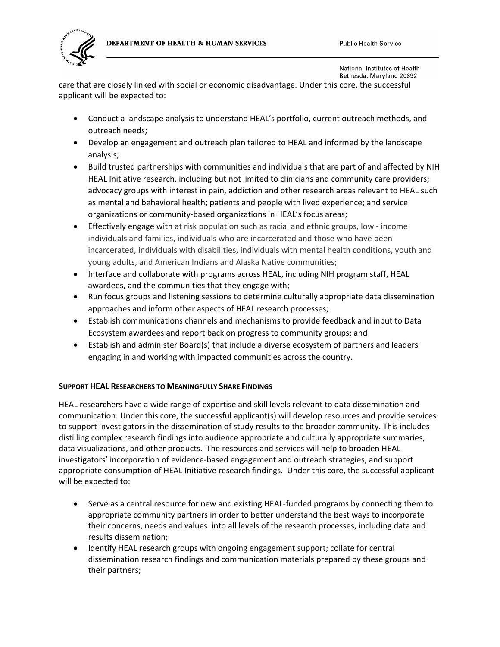



care that are closely linked with social or economic disadvantage. Under this core, the successful applicant will be expected to:

- Conduct a landscape analysis to understand HEAL's portfolio, current outreach methods, and outreach needs;
- Develop an engagement and outreach plan tailored to HEAL and informed by the landscape analysis;
- Build trusted partnerships with communities and individuals that are part of and affected by NIH HEAL Initiative research, including but not limited to clinicians and community care providers; advocacy groups with interest in pain, addiction and other research areas relevant to HEAL such as mental and behavioral health; patients and people with lived experience; and service organizations or community-based organizations in HEAL's focus areas;
- Effectively engage with at risk population such as racial and ethnic groups, low income individuals and families, individuals who are incarcerated and those who have been incarcerated, individuals with disabilities, individuals with mental health conditions, youth and young adults, and American Indians and Alaska Native communities;
- Interface and collaborate with programs across HEAL, including NIH program staff, HEAL awardees, and the communities that they engage with;
- Run focus groups and listening sessions to determine culturally appropriate data dissemination approaches and inform other aspects of HEAL research processes;
- Establish communications channels and mechanisms to provide feedback and input to Data Ecosystem awardees and report back on progress to community groups; and
- Establish and administer Board(s) that include a diverse ecosystem of partners and leaders engaging in and working with impacted communities across the country.

### **SUPPORT HEAL RESEARCHERS TO MEANINGFULLY SHARE FINDINGS**

HEAL researchers have a wide range of expertise and skill levels relevant to data dissemination and communication. Under this core, the successful applicant(s) will develop resources and provide services to support investigators in the dissemination of study results to the broader community. This includes distilling complex research findings into audience appropriate and culturally appropriate summaries, data visualizations, and other products. The resources and services will help to broaden HEAL investigators' incorporation of evidence-based engagement and outreach strategies, and support appropriate consumption of HEAL Initiative research findings. Under this core, the successful applicant will be expected to:

- Serve as a central resource for new and existing HEAL-funded programs by connecting them to appropriate community partners in order to better understand the best ways to incorporate their concerns, needs and values into all levels of the research processes, including data and results dissemination;
- Identify HEAL research groups with ongoing engagement support; collate for central dissemination research findings and communication materials prepared by these groups and their partners;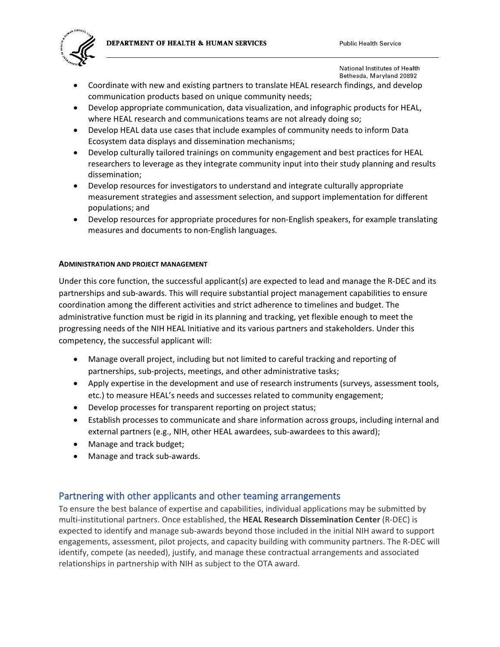

- Coordinate with new and existing partners to translate HEAL research findings, and develop communication products based on unique community needs;
- Develop appropriate communication, data visualization, and infographic products for HEAL, where HEAL research and communications teams are not already doing so;
- Develop HEAL data use cases that include examples of community needs to inform Data Ecosystem data displays and dissemination mechanisms;
- Develop culturally tailored trainings on community engagement and best practices for HEAL researchers to leverage as they integrate community input into their study planning and results dissemination;
- Develop resources for investigators to understand and integrate culturally appropriate measurement strategies and assessment selection, and support implementation for different populations; and
- Develop resources for appropriate procedures for non-English speakers, for example translating measures and documents to non-English languages.

#### **ADMINISTRATION AND PROJECT MANAGEMENT**

Under this core function, the successful applicant(s) are expected to lead and manage the R-DEC and its partnerships and sub-awards. This will require substantial project management capabilities to ensure coordination among the different activities and strict adherence to timelines and budget. The administrative function must be rigid in its planning and tracking, yet flexible enough to meet the progressing needs of the NIH HEAL Initiative and its various partners and stakeholders. Under this competency, the successful applicant will:

- Manage overall project, including but not limited to careful tracking and reporting of partnerships, sub-projects, meetings, and other administrative tasks;
- Apply expertise in the development and use of research instruments (surveys, assessment tools, etc.) to measure HEAL's needs and successes related to community engagement;
- Develop processes for transparent reporting on project status;
- Establish processes to communicate and share information across groups, including internal and external partners (e.g., NIH, other HEAL awardees, sub-awardees to this award);
- Manage and track budget;
- Manage and track sub-awards.

### Partnering with other applicants and other teaming arrangements

To ensure the best balance of expertise and capabilities, individual applications may be submitted by multi-institutional partners. Once established, the **HEAL Research Dissemination Center** (R-DEC) is expected to identify and manage sub-awards beyond those included in the initial NIH award to support engagements, assessment, pilot projects, and capacity building with community partners. The R-DEC will identify, compete (as needed), justify, and manage these contractual arrangements and associated relationships in partnership with NIH as subject to the OTA award.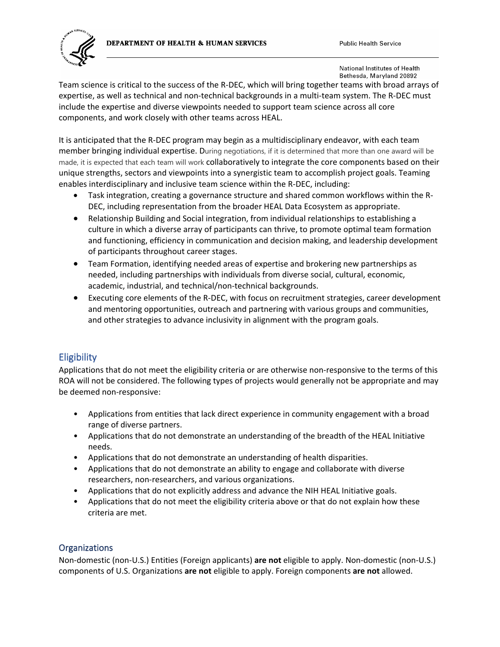DEPARTMENT OF HEALTH & HUMAN SERVICES





National Institutes of Health Bethesda, Maryland 20892

Team science is critical to the success of the R-DEC, which will bring together teams with broad arrays of expertise, as well as technical and non-technical backgrounds in a multi-team system. The R-DEC must include the expertise and diverse viewpoints needed to support team science across all core components, and work closely with other teams across HEAL.

It is anticipated that the R-DEC program may begin as a multidisciplinary endeavor, with each team member bringing individual expertise. During negotiations, if it is determined that more than one award will be made, it is expected that each team will work collaboratively to integrate the core components based on their unique strengths, sectors and viewpoints into a synergistic team to accomplish project goals. Teaming enables interdisciplinary and inclusive team science within the R-DEC, including:

- Task integration, creating a governance structure and shared common workflows within the R-DEC, including representation from the broader HEAL Data Ecosystem as appropriate.
- Relationship Building and Social integration, from individual relationships to establishing a culture in which a diverse array of participants can thrive, to promote optimal team formation and functioning, efficiency in communication and decision making, and leadership development of participants throughout career stages.
- Team Formation, identifying needed areas of expertise and brokering new partnerships as needed, including partnerships with individuals from diverse social, cultural, economic, academic, industrial, and technical/non-technical backgrounds.
- Executing core elements of the R-DEC, with focus on recruitment strategies, career development and mentoring opportunities, outreach and partnering with various groups and communities, and other strategies to advance inclusivity in alignment with the program goals.

### **Eligibility**

Applications that do not meet the eligibility criteria or are otherwise non-responsive to the terms of this ROA will not be considered. The following types of projects would generally not be appropriate and may be deemed non-responsive:

- Applications from entities that lack direct experience in community engagement with a broad range of diverse partners.
- Applications that do not demonstrate an understanding of the breadth of the HEAL Initiative needs.
- Applications that do not demonstrate an understanding of health disparities.
- Applications that do not demonstrate an ability to engage and collaborate with diverse researchers, non-researchers, and various organizations.
- Applications that do not explicitly address and advance the NIH HEAL Initiative goals.
- Applications that do not meet the eligibility criteria above or that do not explain how these criteria are met.

### **Organizations**

Non-domestic (non-U.S.) Entities (Foreign applicants) **are not** eligible to apply. Non-domestic (non-U.S.) components of U.S. Organizations **are not** eligible to apply. Foreign components **are not** allowed.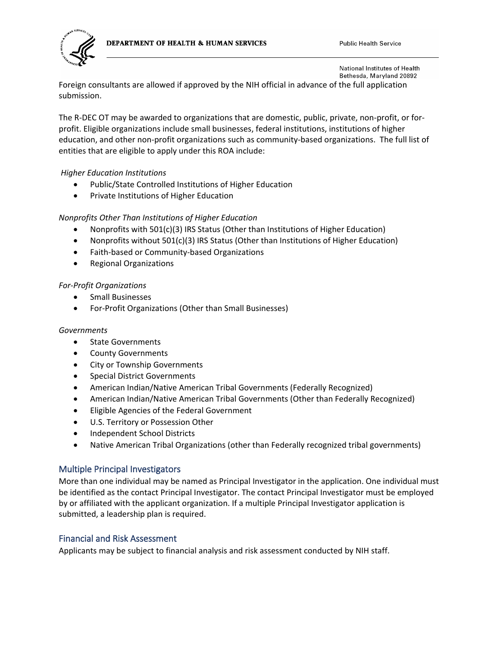



Foreign consultants are allowed if approved by the NIH official in advance of the full application submission.

The R-DEC OT may be awarded to organizations that are domestic, public, private, non-profit, or forprofit. Eligible organizations include small businesses, federal institutions, institutions of higher education, and other non-profit organizations such as community-based organizations. The full list of entities that are eligible to apply under this ROA include:

#### *Higher Education Institutions*

- Public/State Controlled Institutions of Higher Education
- Private Institutions of Higher Education

### *Nonprofits Other Than Institutions of Higher Education*

- Nonprofits with 501(c)(3) IRS Status (Other than Institutions of Higher Education)
- Nonprofits without 501(c)(3) IRS Status (Other than Institutions of Higher Education)
- Faith-based or Community-based Organizations
- Regional Organizations

#### *For-Profit Organizations*

- Small Businesses
- For-Profit Organizations (Other than Small Businesses)

#### *Governments*

- State Governments
- County Governments
- City or Township Governments
- Special District Governments
- American Indian/Native American Tribal Governments (Federally Recognized)
- American Indian/Native American Tribal Governments (Other than Federally Recognized)
- Eligible Agencies of the Federal Government
- U.S. Territory or Possession Other
- Independent School Districts
- Native American Tribal Organizations (other than Federally recognized tribal governments)

#### Multiple Principal Investigators

More than one individual may be named as Principal Investigator in the application. One individual must be identified as the contact Principal Investigator. The contact Principal Investigator must be employed by or affiliated with the applicant organization. If a multiple Principal Investigator application is submitted, a leadership plan is required.

#### Financial and Risk Assessment

Applicants may be subject to financial analysis and risk assessment conducted by NIH staff.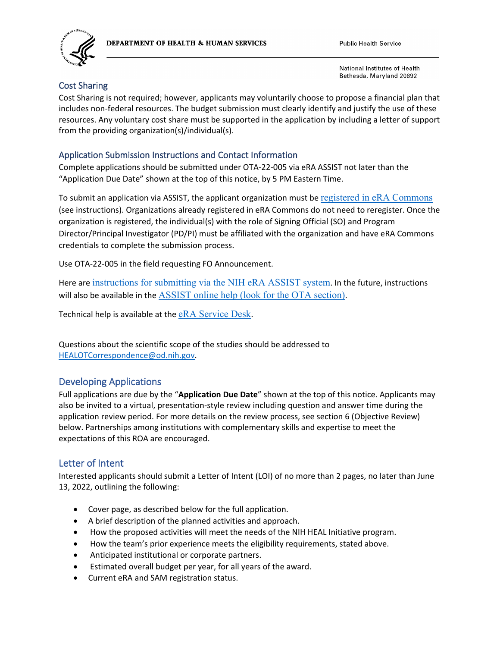





### Cost Sharing

Cost Sharing is not required; however, applicants may voluntarily choose to propose a financial plan that includes non-federal resources. The budget submission must clearly identify and justify the use of these resources. Any voluntary cost share must be supported in the application by including a letter of support from the providing organization(s)/individual(s).

### Application Submission Instructions and Contact Information

Complete applications should be submitted under OTA-22-005 via eRA ASSIST not later than the "Application Due Date" shown at the top of this notice, by 5 PM Eastern Time.

To submit an application via ASSIST, the applicant organization must be [registered in eRA Commons](https://public.era.nih.gov/commonsplus/public/registration/initRegistration.era) (see instructions). Organizations already registered in eRA Commons do not need to reregister. Once the organization is registered, the individual(s) with the role of Signing Official (SO) and Program Director/Principal Investigator (PD/PI) must be affiliated with the organization and have eRA Commons credentials to complete the submission process.

Use OTA-22-005 in the field requesting FO Announcement.

Here are [instructions for submitting via the NIH eRA ASSIST system](https://era.nih.gov/files/OTA-Submissions.docx). In the future, instructions will also be available in the [ASSIST online help \(look for the OTA section\)](https://era.nih.gov/erahelp/ASSIST/default.htm).

Technical help is available at the [eRA Service Desk](https://grants.nih.gov/support/index.html).

Questions about the scientific scope of the studies should be addressed to [HEALOTCorrespondence@od.nih.gov.](mailto:HEALOTCorrespondence@od.nih.gov)

### Developing Applications

Full applications are due by the "**Application Due Date**" shown at the top of this notice. Applicants may also be invited to a virtual, presentation-style review including question and answer time during the application review period. For more details on the review process, see section 6 (Objective Review) below. Partnerships among institutions with complementary skills and expertise to meet the expectations of this ROA are encouraged.

### Letter of Intent

Interested applicants should submit a Letter of Intent (LOI) of no more than 2 pages, no later than June 13, 2022, outlining the following:

- Cover page, as described below for the full application.
- A brief description of the planned activities and approach.
- How the proposed activities will meet the needs of the NIH HEAL Initiative program.
- How the team's prior experience meets the eligibility requirements, stated above.
- Anticipated institutional or corporate partners.
- Estimated overall budget per year, for all years of the award.
- Current eRA and SAM registration status.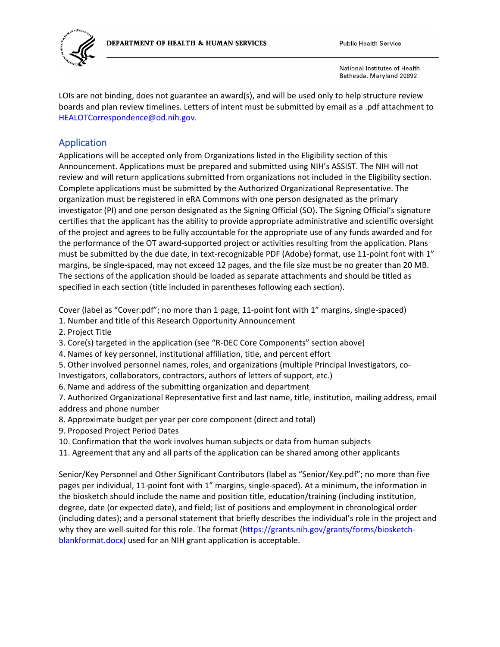

LOIs are not binding, does not guarantee an award(s), and will be used only to help structure review boards and plan review timelines. Letters of intent must be submitted by email as a .pdf attachment to HEALOTCorrespondence@od.nih.gov.

### Application

Applications will be accepted only from Organizations listed in the Eligibility section of this Announcement. Applications must be prepared and submitted using NIH's ASSIST. The NIH will not review and will return applications submitted from organizations not included in the Eligibility section. Complete applications must be submitted by the Authorized Organizational Representative. The organization must be registered in eRA Commons with one person designated as the primary investigator (PI) and one person designated as the Signing Official (SO). The Signing Official's signature certifies that the applicant has the ability to provide appropriate administrative and scientific oversight of the project and agrees to be fully accountable for the appropriate use of any funds awarded and for the performance of the OT award-supported project or activities resulting from the application. Plans must be submitted by the due date, in text-recognizable PDF (Adobe) format, use 11-point font with 1" margins, be single-spaced, may not exceed 12 pages, and the file size must be no greater than 20 MB. The sections of the application should be loaded as separate attachments and should be titled as specified in each section (title included in parentheses following each section).

Cover (label as "Cover.pdf"; no more than 1 page, 11-point font with 1" margins, single-spaced)

- 1. Number and title of this Research Opportunity Announcement
- 2. Project Title

3. Core(s) targeted in the application (see "R-DEC Core Components" section above)

- 4. Names of key personnel, institutional affiliation, title, and percent effort
- 5. Other involved personnel names, roles, and organizations (multiple Principal Investigators, co-
- Investigators, collaborators, contractors, authors of letters of support, etc.)

6. Name and address of the submitting organization and department

7. Authorized Organizational Representative first and last name, title, institution, mailing address, email address and phone number

- 8. Approximate budget per year per core component (direct and total)
- 9. Proposed Project Period Dates
- 10. Confirmation that the work involves human subjects or data from human subjects
- 11. Agreement that any and all parts of the application can be shared among other applicants

Senior/Key Personnel and Other Significant Contributors (label as "Senior/Key.pdf"; no more than five pages per individual, 11-point font with 1" margins, single-spaced). At a minimum, the information in the biosketch should include the name and position title, education/training (including institution, degree, date (or expected date), and field; list of positions and employment in chronological order (including dates); and a personal statement that briefly describes the individual's role in the project and why they are well-suited for this role. The format (https://grants.nih.gov/grants/forms/biosketchblankformat.docx) used for an NIH grant application is acceptable.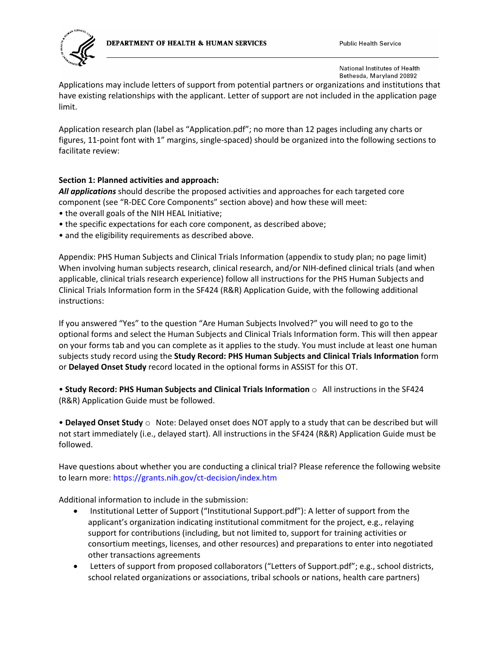



Applications may include letters of support from potential partners or organizations and institutions that have existing relationships with the applicant. Letter of support are not included in the application page limit.

Application research plan (label as "Application.pdf"; no more than 12 pages including any charts or figures, 11-point font with 1" margins, single-spaced) should be organized into the following sections to facilitate review:

#### **Section 1: Planned activities and approach:**

*All applications* should describe the proposed activities and approaches for each targeted core component (see "R-DEC Core Components" section above) and how these will meet:

- the overall goals of the NIH HEAL Initiative;
- the specific expectations for each core component, as described above;
- and the eligibility requirements as described above.

Appendix: PHS Human Subjects and Clinical Trials Information (appendix to study plan; no page limit) When involving human subjects research, clinical research, and/or NIH-defined clinical trials (and when applicable, clinical trials research experience) follow all instructions for the PHS Human Subjects and Clinical Trials Information form in the SF424 (R&R) Application Guide, with the following additional instructions:

If you answered "Yes" to the question "Are Human Subjects Involved?" you will need to go to the optional forms and select the Human Subjects and Clinical Trials Information form. This will then appear on your forms tab and you can complete as it applies to the study. You must include at least one human subjects study record using the **Study Record: PHS Human Subjects and Clinical Trials Information** form or **Delayed Onset Study** record located in the optional forms in ASSIST for this OT.

• **Study Record: PHS Human Subjects and Clinical Trials Information** o All instructions in the SF424 (R&R) Application Guide must be followed.

• **Delayed Onset Study** o Note: Delayed onset does NOT apply to a study that can be described but will not start immediately (i.e., delayed start). All instructions in the SF424 (R&R) Application Guide must be followed.

Have questions about whether you are conducting a clinical trial? Please reference the following website to learn more: https://grants.nih.gov/ct-decision/index.htm

Additional information to include in the submission:

- Institutional Letter of Support ("Institutional Support.pdf"): A letter of support from the applicant's organization indicating institutional commitment for the project, e.g., relaying support for contributions (including, but not limited to, support for training activities or consortium meetings, licenses, and other resources) and preparations to enter into negotiated other transactions agreements
- Letters of support from proposed collaborators ("Letters of Support.pdf"; e.g., school districts, school related organizations or associations, tribal schools or nations, health care partners)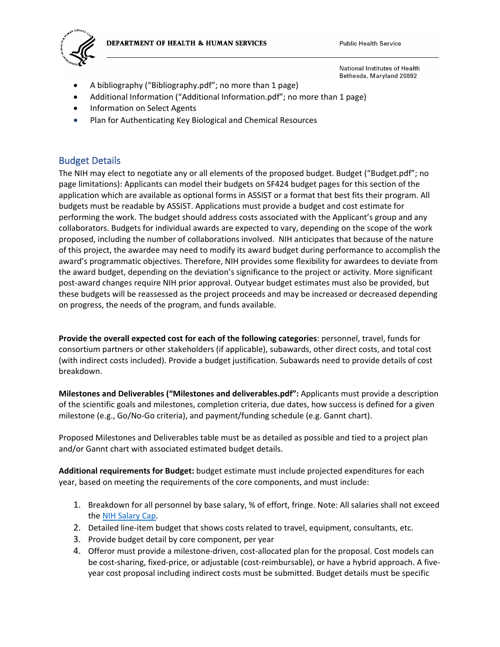



**Public Health Service** 

National Institutes of Health Bethesda, Maryland 20892

- A bibliography ("Bibliography.pdf"; no more than 1 page)
- Additional Information ("Additional Information.pdf"; no more than 1 page)
- Information on Select Agents
- Plan for Authenticating Key Biological and Chemical Resources

### Budget Details

The NIH may elect to negotiate any or all elements of the proposed budget. Budget ("Budget.pdf"; no page limitations): Applicants can model their budgets on SF424 budget pages for this section of the application which are available as optional forms in ASSIST or a format that best fits their program. All budgets must be readable by ASSIST. Applications must provide a budget and cost estimate for performing the work. The budget should address costs associated with the Applicant's group and any collaborators. Budgets for individual awards are expected to vary, depending on the scope of the work proposed, including the number of collaborations involved. NIH anticipates that because of the nature of this project, the awardee may need to modify its award budget during performance to accomplish the award's programmatic objectives. Therefore, NIH provides some flexibility for awardees to deviate from the award budget, depending on the deviation's significance to the project or activity. More significant post-award changes require NIH prior approval. Outyear budget estimates must also be provided, but these budgets will be reassessed as the project proceeds and may be increased or decreased depending on progress, the needs of the program, and funds available.

**Provide the overall expected cost for each of the following categories**: personnel, travel, funds for consortium partners or other stakeholders (if applicable), subawards, other direct costs, and total cost (with indirect costs included). Provide a budget justification. Subawards need to provide details of cost breakdown.

**Milestones and Deliverables ("Milestones and deliverables.pdf":** Applicants must provide a description of the scientific goals and milestones, completion criteria, due dates, how success is defined for a given milestone (e.g., Go/No-Go criteria), and payment/funding schedule (e.g. Gannt chart).

Proposed Milestones and Deliverables table must be as detailed as possible and tied to a project plan and/or Gannt chart with associated estimated budget details.

**Additional requirements for Budget:** budget estimate must include projected expenditures for each year, based on meeting the requirements of the core components, and must include:

- 1. Breakdown for all personnel by base salary, % of effort, fringe. Note: All salaries shall not exceed the [NIH Salary Cap.](https://grants.nih.gov/grants/policy/salcap_summary.htm)
- 2. Detailed line-item budget that shows costs related to travel, equipment, consultants, etc.
- 3. Provide budget detail by core component, per year
- 4. Offeror must provide a milestone-driven, cost-allocated plan for the proposal. Cost models can be cost-sharing, fixed-price, or adjustable (cost-reimbursable), or have a hybrid approach. A fiveyear cost proposal including indirect costs must be submitted. Budget details must be specific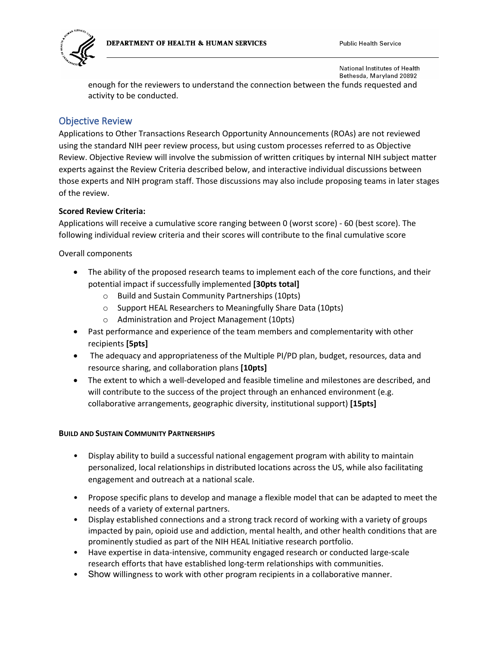

enough for the reviewers to understand the connection between the funds requested and activity to be conducted.

### Objective Review

Applications to Other Transactions Research Opportunity Announcements (ROAs) are not reviewed using the standard NIH peer review process, but using custom processes referred to as Objective Review. Objective Review will involve the submission of written critiques by internal NIH subject matter experts against the Review Criteria described below, and interactive individual discussions between those experts and NIH program staff. Those discussions may also include proposing teams in later stages of the review.

#### **Scored Review Criteria:**

Applications will receive a cumulative score ranging between 0 (worst score) - 60 (best score). The following individual review criteria and their scores will contribute to the final cumulative score

Overall components

- The ability of the proposed research teams to implement each of the core functions, and their potential impact if successfully implemented **[30pts total]**
	- o Build and Sustain Community Partnerships (10pts)
	- o Support HEAL Researchers to Meaningfully Share Data (10pts)
	- o Administration and Project Management (10pts)
- Past performance and experience of the team members and complementarity with other recipients **[5pts]**
- The adequacy and appropriateness of the Multiple PI/PD plan, budget, resources, data and resource sharing, and collaboration plans **[10pts]**
- The extent to which a well-developed and feasible timeline and milestones are described, and will contribute to the success of the project through an enhanced environment (e.g. collaborative arrangements, geographic diversity, institutional support) **[15pts]**

#### **BUILD AND SUSTAIN COMMUNITY PARTNERSHIPS**

- Display ability to build a successful national engagement program with ability to maintain personalized, local relationships in distributed locations across the US, while also facilitating engagement and outreach at a national scale.
- Propose specific plans to develop and manage a flexible model that can be adapted to meet the needs of a variety of external partners.
- Display established connections and a strong track record of working with a variety of groups impacted by pain, opioid use and addiction, mental health, and other health conditions that are prominently studied as part of the NIH HEAL Initiative research portfolio.
- Have expertise in data-intensive, community engaged research or conducted large-scale research efforts that have established long-term relationships with communities.
- Show willingness to work with other program recipients in a collaborative manner.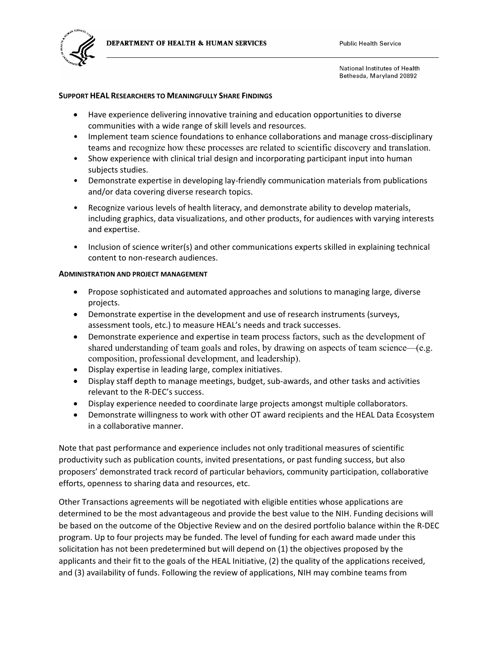

#### **SUPPORT HEAL RESEARCHERS TO MEANINGFULLY SHARE FINDINGS**

- Have experience delivering innovative training and education opportunities to diverse communities with a wide range of skill levels and resources.
- Implement team science foundations to enhance collaborations and manage cross-disciplinary teams and recognize how these processes are related to scientific discovery and translation.
- Show experience with clinical trial design and incorporating participant input into human subjects studies.
- Demonstrate expertise in developing lay-friendly communication materials from publications and/or data covering diverse research topics.
- Recognize various levels of health literacy, and demonstrate ability to develop materials, including graphics, data visualizations, and other products, for audiences with varying interests and expertise.
- Inclusion of science writer(s) and other communications experts skilled in explaining technical content to non-research audiences.

#### **ADMINISTRATION AND PROJECT MANAGEMENT**

- Propose sophisticated and automated approaches and solutions to managing large, diverse projects.
- Demonstrate expertise in the development and use of research instruments (surveys, assessment tools, etc.) to measure HEAL's needs and track successes.
- Demonstrate experience and expertise in team process factors, such as the development of shared understanding of team goals and roles, by drawing on aspects of team science—(e.g. composition, professional development, and leadership).
- Display expertise in leading large, complex initiatives.
- Display staff depth to manage meetings, budget, sub-awards, and other tasks and activities relevant to the R-DEC's success.
- Display experience needed to coordinate large projects amongst multiple collaborators.
- Demonstrate willingness to work with other OT award recipients and the HEAL Data Ecosystem in a collaborative manner.

Note that past performance and experience includes not only traditional measures of scientific productivity such as publication counts, invited presentations, or past funding success, but also proposers' demonstrated track record of particular behaviors, community participation, collaborative efforts, openness to sharing data and resources, etc.

Other Transactions agreements will be negotiated with eligible entities whose applications are determined to be the most advantageous and provide the best value to the NIH. Funding decisions will be based on the outcome of the Objective Review and on the desired portfolio balance within the R-DEC program. Up to four projects may be funded. The level of funding for each award made under this solicitation has not been predetermined but will depend on (1) the objectives proposed by the applicants and their fit to the goals of the HEAL Initiative, (2) the quality of the applications received, and (3) availability of funds. Following the review of applications, NIH may combine teams from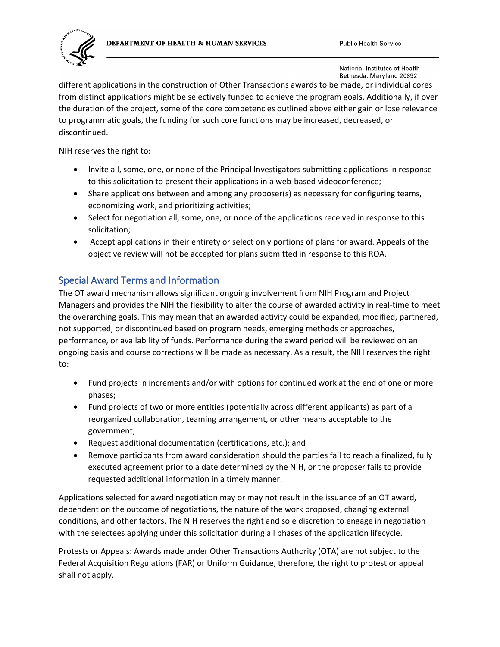



different applications in the construction of Other Transactions awards to be made, or individual cores from distinct applications might be selectively funded to achieve the program goals. Additionally, if over the duration of the project, some of the core competencies outlined above either gain or lose relevance to programmatic goals, the funding for such core functions may be increased, decreased, or discontinued.

NIH reserves the right to:

- Invite all, some, one, or none of the Principal Investigators submitting applications in response to this solicitation to present their applications in a web-based videoconference;
- Share applications between and among any proposer(s) as necessary for configuring teams, economizing work, and prioritizing activities;
- Select for negotiation all, some, one, or none of the applications received in response to this solicitation;
- Accept applications in their entirety or select only portions of plans for award. Appeals of the objective review will not be accepted for plans submitted in response to this ROA.

### Special Award Terms and Information

The OT award mechanism allows significant ongoing involvement from NIH Program and Project Managers and provides the NIH the flexibility to alter the course of awarded activity in real-time to meet the overarching goals. This may mean that an awarded activity could be expanded, modified, partnered, not supported, or discontinued based on program needs, emerging methods or approaches, performance, or availability of funds. Performance during the award period will be reviewed on an ongoing basis and course corrections will be made as necessary. As a result, the NIH reserves the right to:

- Fund projects in increments and/or with options for continued work at the end of one or more phases;
- Fund projects of two or more entities (potentially across different applicants) as part of a reorganized collaboration, teaming arrangement, or other means acceptable to the government;
- Request additional documentation (certifications, etc.); and
- Remove participants from award consideration should the parties fail to reach a finalized, fully executed agreement prior to a date determined by the NIH, or the proposer fails to provide requested additional information in a timely manner.

Applications selected for award negotiation may or may not result in the issuance of an OT award, dependent on the outcome of negotiations, the nature of the work proposed, changing external conditions, and other factors. The NIH reserves the right and sole discretion to engage in negotiation with the selectees applying under this solicitation during all phases of the application lifecycle.

Protests or Appeals: Awards made under Other Transactions Authority (OTA) are not subject to the Federal Acquisition Regulations (FAR) or Uniform Guidance, therefore, the right to protest or appeal shall not apply.